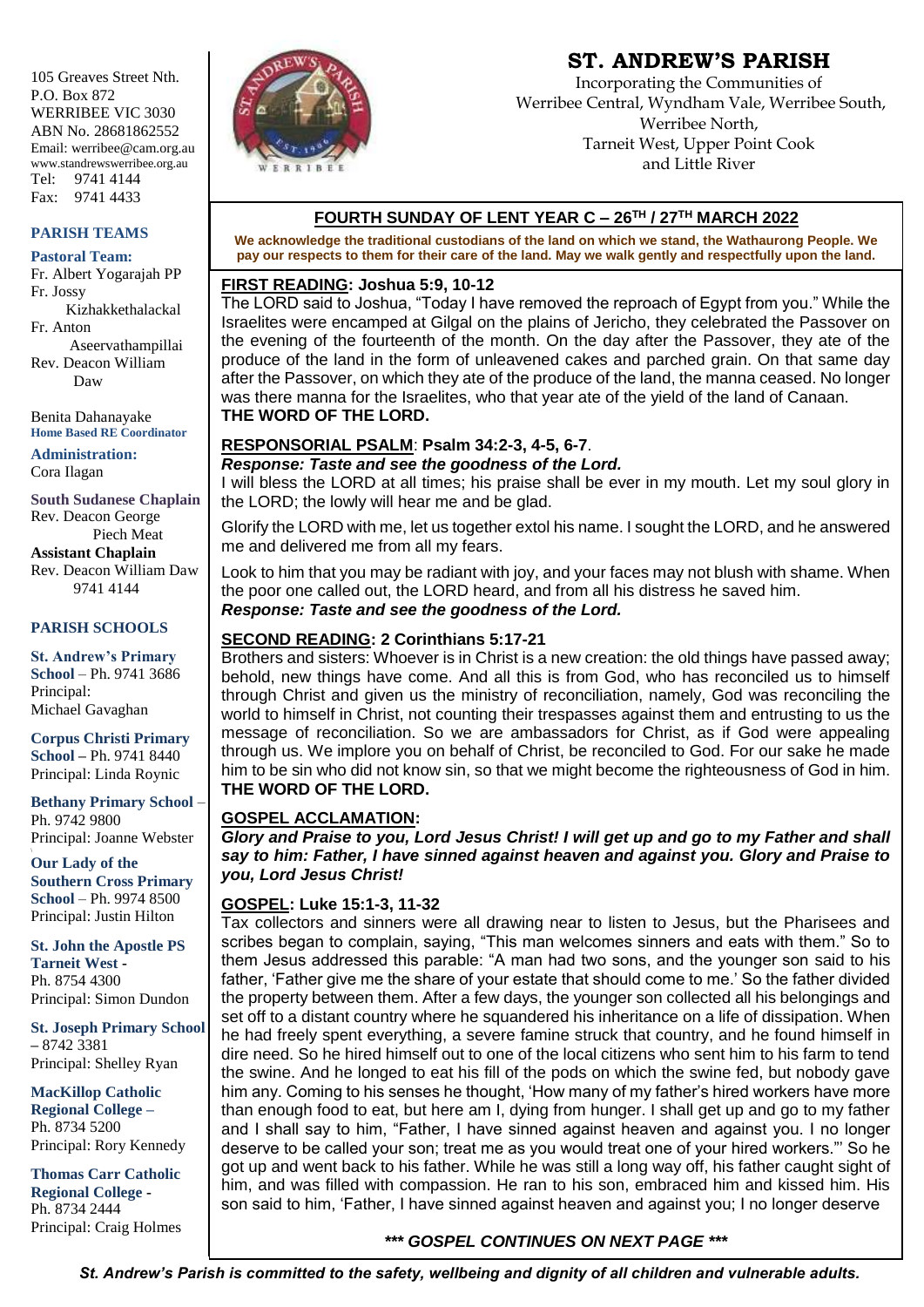105 Greaves Street Nth. P.O. Box 872 WERRIBEE VIC 3030 ABN No. 28681862552 Email: werribee@cam.org.au www.standrewswerribee.org.au Tel: 9741 4144 Fax: 9741 4433

#### **PARISH TEAMS**

#### **Pastoral Team:**

Fr. Albert Yogarajah PP Fr. Jossy Kizhakkethalackal Fr. Anton Aseervathampillai Rev. Deacon William Daw

Benita Dahanayake **Home Based RE Coordinator**

**Administration:** Cora Ilagan

**South Sudanese Chaplain** Rev. Deacon George Piech Meat **Assistant Chaplain** Rev. Deacon William Daw 9741 4144

#### **PARISH SCHOOLS**

**St. Andrew's Primary School** – Ph. 9741 3686 Principal: Michael Gavaghan

**Corpus Christi Primary School –** Ph. 9741 8440 Principal: Linda Roynic

**Bethany Primary School** – Ph. 9742 9800 Principal: Joanne Webster

**Our Lady of the Southern Cross Primary School** – Ph. 9974 8500 Principal: Justin Hilton

**St. John the Apostle PS Tarneit West -** Ph. 8754 4300 Principal: Simon Dundon

**St. Joseph Primary School –** 8742 3381 Principal: Shelley Ryan

**MacKillop Catholic Regional College –** Ph. 8734 5200 Principal: Rory Kennedy

**Thomas Carr Catholic Regional College -** Ph. 8734 2444 Principal: Craig Holmes



# **ST. ANDREW'S PARISH**

Incorporating the Communities of Werribee Central, Wyndham Vale, Werribee South, Werribee North, Tarneit West, Upper Point Cook and Little River

# **FOURTH SUNDAY OF LENT YEAR C – 26TH / 27TH MARCH 2022**

**We acknowledge the traditional custodians of the land on which we stand, the Wathaurong People. We pay our respects to them for their care of the land. May we walk gently and respectfully upon the land.**

## **FIRST READING: Joshua 5:9, 10-12**

The LORD said to Joshua, "Today I have removed the reproach of Egypt from you." While the Israelites were encamped at Gilgal on the plains of Jericho, they celebrated the Passover on the evening of the fourteenth of the month. On the day after the Passover, they ate of the produce of the land in the form of unleavened cakes and parched grain. On that same day after the Passover, on which they ate of the produce of the land, the manna ceased. No longer was there manna for the Israelites, who that year ate of the yield of the land of Canaan. **THE WORD OF THE LORD.**

# **RESPONSORIAL PSALM**: **Psalm 34:2-3, 4-5, 6-7**.

*Response: Taste and see the goodness of the Lord.*

I will bless the LORD at all times; his praise shall be ever in my mouth. Let my soul glory in the LORD; the lowly will hear me and be glad.

Glorify the LORD with me, let us together extol his name. I sought the LORD, and he answered me and delivered me from all my fears.

Look to him that you may be radiant with joy, and your faces may not blush with shame. When the poor one called out, the LORD heard, and from all his distress he saved him. *Response: Taste and see the goodness of the Lord.*

# **SECOND READING: 2 Corinthians 5:17-21**

Brothers and sisters: Whoever is in Christ is a new creation: the old things have passed away; behold, new things have come. And all this is from God, who has reconciled us to himself through Christ and given us the ministry of reconciliation, namely, God was reconciling the world to himself in Christ, not counting their trespasses against them and entrusting to us the message of reconciliation. So we are ambassadors for Christ, as if God were appealing through us. We implore you on behalf of Christ, be reconciled to God. For our sake he made him to be sin who did not know sin, so that we might become the righteousness of God in him. **THE WORD OF THE LORD.**

#### **GOSPEL ACCLAMATION:**

*Glory and Praise to you, Lord Jesus Christ! I will get up and go to my Father and shall say to him: Father, I have sinned against heaven and against you. Glory and Praise to you, Lord Jesus Christ!*

#### **GOSPEL: Luke 15:1-3, 11-32**

Tax collectors and sinners were all drawing near to listen to Jesus, but the Pharisees and scribes began to complain, saying, "This man welcomes sinners and eats with them." So to them Jesus addressed this parable: "A man had two sons, and the younger son said to his father, 'Father give me the share of your estate that should come to me.' So the father divided the property between them. After a few days, the younger son collected all his belongings and set off to a distant country where he squandered his inheritance on a life of dissipation. When he had freely spent everything, a severe famine struck that country, and he found himself in dire need. So he hired himself out to one of the local citizens who sent him to his farm to tend the swine. And he longed to eat his fill of the pods on which the swine fed, but nobody gave him any. Coming to his senses he thought, 'How many of my father's hired workers have more than enough food to eat, but here am I, dying from hunger. I shall get up and go to my father and I shall say to him, "Father, I have sinned against heaven and against you. I no longer deserve to be called your son; treat me as you would treat one of your hired workers."' So he got up and went back to his father. While he was still a long way off, his father caught sight of him, and was filled with compassion. He ran to his son, embraced him and kissed him. His son said to him, 'Father, I have sinned against heaven and against you; I no longer deserve

# *\*\*\* GOSPEL CONTINUES ON NEXT PAGE \*\*\**

*St. Andrew's Parish is committed to the safety, wellbeing and dignity of all children and vulnerable adults.*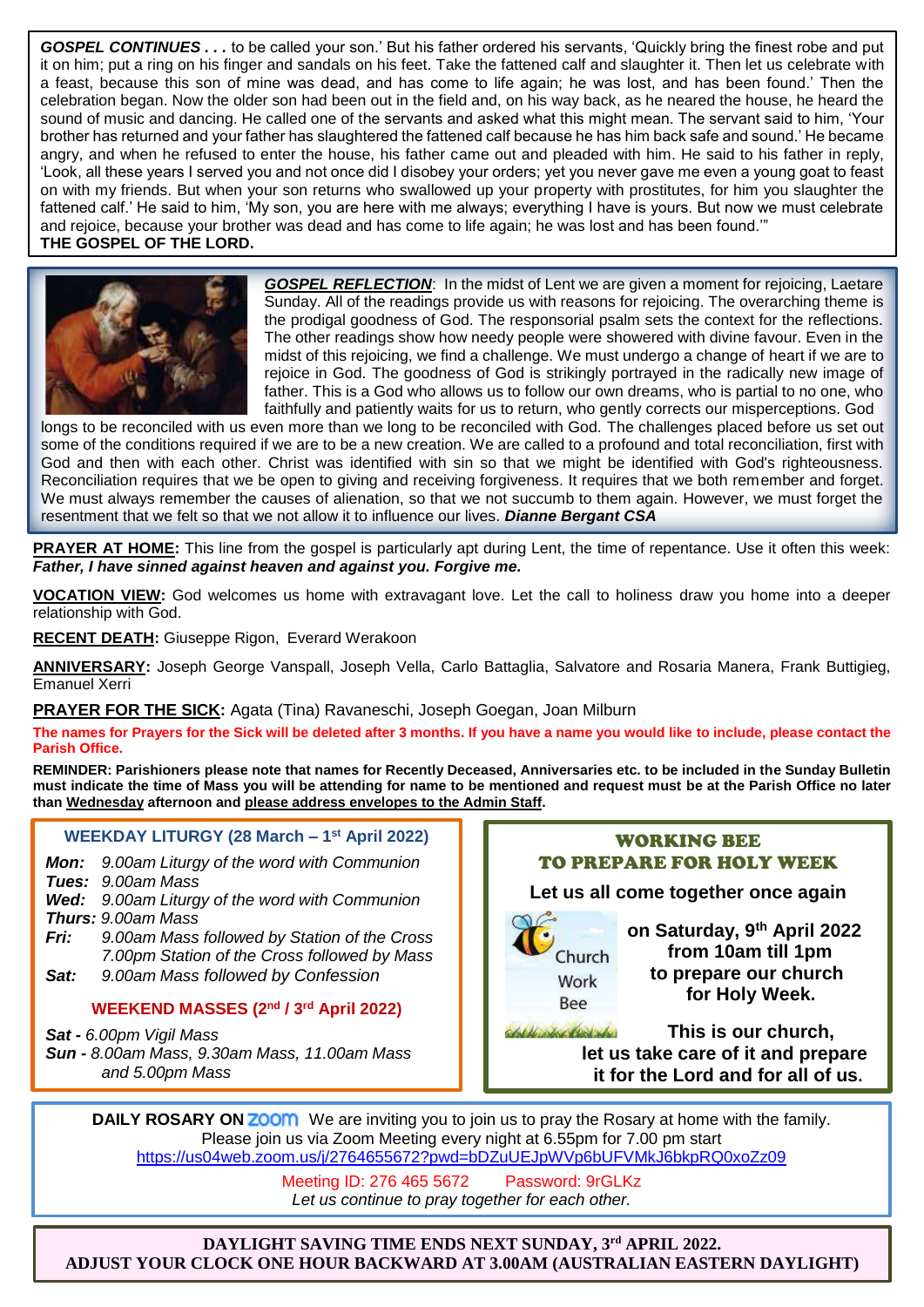*GOSPEL CONTINUES . . .* to be called your son.' But his father ordered his servants, 'Quickly bring the finest robe and put it on him; put a ring on his finger and sandals on his feet. Take the fattened calf and slaughter it. Then let us celebrate with a feast, because this son of mine was dead, and has come to life again; he was lost, and has been found.' Then the celebration began. Now the older son had been out in the field and, on his way back, as he neared the house, he heard the sound of music and dancing. He called one of the servants and asked what this might mean. The servant said to him, 'Your brother has returned and your father has slaughtered the fattened calf because he has him back safe and sound.' He became angry, and when he refused to enter the house, his father came out and pleaded with him. He said to his father in reply, 'Look, all these years I served you and not once did I disobey your orders; yet you never gave me even a young goat to feast on with my friends. But when your son returns who swallowed up your property with prostitutes, for him you slaughter the fattened calf.' He said to him, 'My son, you are here with me always; everything I have is yours. But now we must celebrate and rejoice, because your brother was dead and has come to life again; he was lost and has been found.'" **THE GOSPEL OF THE LORD.**



*GOSPEL REFLECTION*: In the midst of Lent we are given a moment for rejoicing, Laetare Sunday. All of the readings provide us with reasons for rejoicing. The overarching theme is the prodigal goodness of God. The responsorial psalm sets the context for the reflections. The other readings show how needy people were showered with divine favour. Even in the midst of this rejoicing, we find a challenge. We must undergo a change of heart if we are to rejoice in God. The goodness of God is strikingly portrayed in the radically new image of father. This is a God who allows us to follow our own dreams, who is partial to no one, who faithfully and patiently waits for us to return, who gently corrects our misperceptions. God

longs to be reconciled with us even more than we long to be reconciled with God. The challenges placed before us set out some of the conditions required if we are to be a new creation. We are called to a profound and total reconciliation, first with God and then with each other. Christ was identified with sin so that we might be identified with God's righteousness. Reconciliation requires that we be open to giving and receiving forgiveness. It requires that we both remember and forget. We must always remember the causes of alienation, so that we not succumb to them again. However, we must forget the resentment that we felt so that we not allow it to influence our lives. *Dianne Bergant CSA*

**PRAYER AT HOME:** This line from the gospel is particularly apt during Lent, the time of repentance. Use it often this week: *Father, I have sinned against heaven and against you. Forgive me.*

**VOCATION VIEW:** God welcomes us home with extravagant love. Let the call to holiness draw you home into a deeper relationship with God.

**RECENT DEATH:** Giuseppe Rigon, Everard Werakoon

**ANNIVERSARY:** Joseph George Vanspall, Joseph Vella, Carlo Battaglia, Salvatore and Rosaria Manera, Frank Buttigieg, Emanuel Xerri

#### **PRAYER FOR THE SICK:** Agata (Tina) Ravaneschi, Joseph Goegan, Joan Milburn

**The names for Prayers for the Sick will be deleted after 3 months. If you have a name you would like to include, please contact the Parish Office.**

**REMINDER: Parishioners please note that names for Recently Deceased, Anniversaries etc. to be included in the Sunday Bulletin must indicate the time of Mass you will be attending for name to be mentioned and request must be at the Parish Office no later than Wednesday afternoon and please address envelopes to the Admin Staff.** 

# **WEEKDAY LITURGY (28 March – 1 st April 2022)**

*Mon: 9.00am Liturgy of the word with Communion Tues: 9.00am Mass*

- *Wed: 9.00am Liturgy of the word with Communion Thurs: 9.00am Mass*
- *Fri: 9.00am Mass followed by Station of the Cross 7.00pm Station of the Cross followed by Mass*
- *Sat: 9.00am Mass followed by Confession*

# **WEEKEND MASSES (2 nd / 3rd April 2022)**

*Sat - 6.00pm Vigil Mass Sun - 8.00am Mass, 9.30am Mass, 11.00am Mass and 5.00pm Mass*







 **on Saturday, 9th April 2022 from 10am till 1pm** *Work* **to prepare our church Ree for Holy Week.** 

de vikil d'ant aber **This is our church, let us take care of it and prepare it for the Lord and for all of us.**

**DAILY ROSARY ON <b>ZOOM** We are inviting you to join us to pray the Rosary at home with the family. Please join us via Zoom Meeting every night at 6.55pm for 7.00 pm start https://us04web.zoom.us/j/2764655672?pwd=bDZuUEJpWVp6bUFVMkJ6bkpRQ0xoZz09

> Meeting ID: 276 465 5672 Password: 9rGLKz *Let us continue to pray together for each other.*

**DAYLIGHT SAVING TIME ENDS NEXT SUNDAY, 3rd APRIL 2022. ADJUST YOUR CLOCK ONE HOUR BACKWARD AT 3.00AM (AUSTRALIAN EASTERN DAYLIGHT) )TIME)**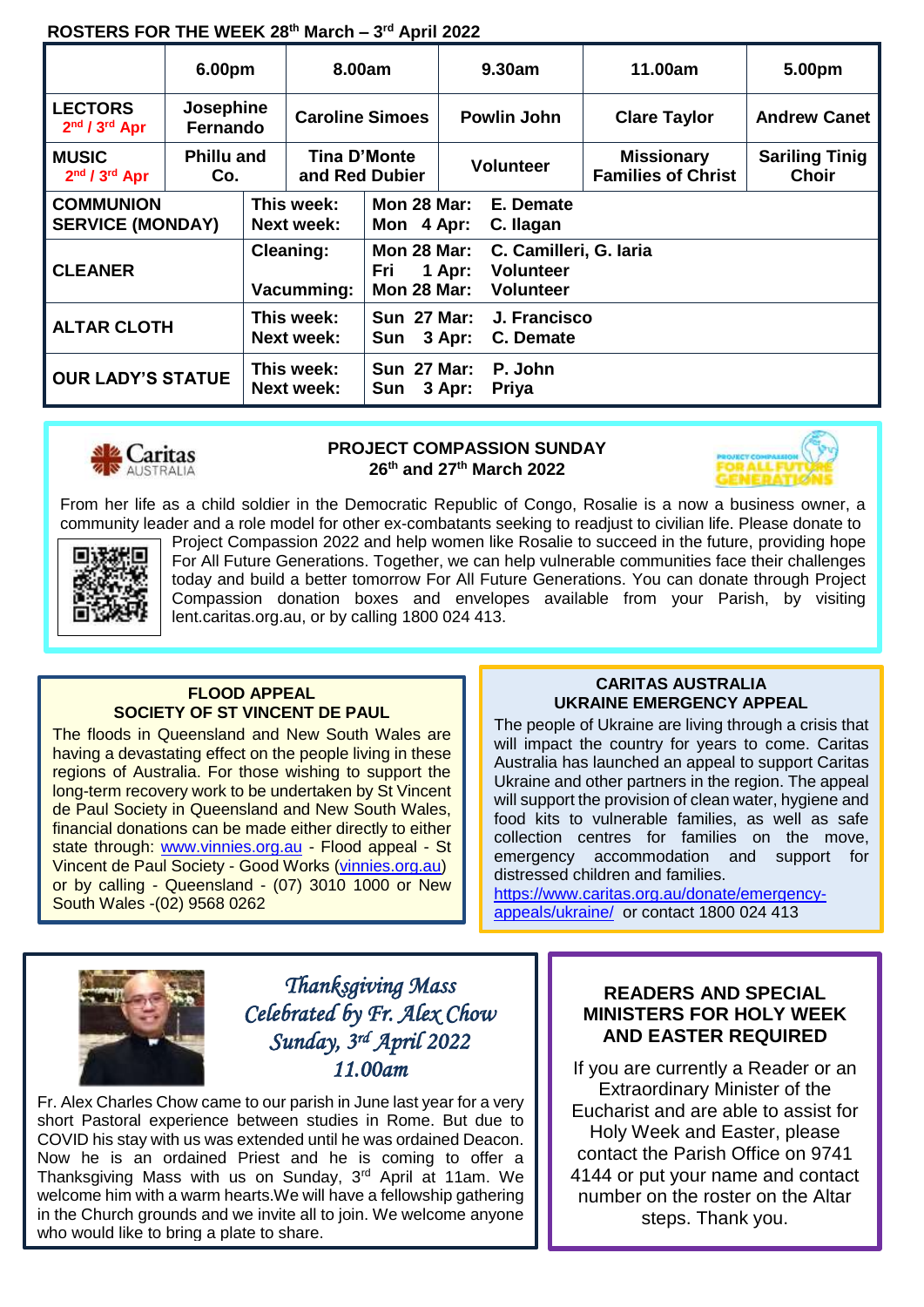# **ROSTERS FOR THE WEEK 28th March – 3 rd April 2022**

|                                             | 6.00pm                   |                                 | 8.00am                          |                                                                                                                             | 9.30am             |                           | 11.00am                                        | 5.00pm                                |
|---------------------------------------------|--------------------------|---------------------------------|---------------------------------|-----------------------------------------------------------------------------------------------------------------------------|--------------------|---------------------------|------------------------------------------------|---------------------------------------|
| <b>LECTORS</b><br>$2nd / 3rd$ Apr           | Josephine<br>Fernando    |                                 | <b>Caroline Simoes</b>          |                                                                                                                             | <b>Powlin John</b> |                           | <b>Clare Taylor</b>                            | <b>Andrew Canet</b>                   |
| <b>MUSIC</b><br>2nd / 3rd Apr               | <b>Phillu and</b><br>Co. |                                 | Tina D'Monte<br>and Red Dubier  |                                                                                                                             | <b>Volunteer</b>   |                           | <b>Missionary</b><br><b>Families of Christ</b> | <b>Sariling Tinig</b><br><b>Choir</b> |
| <b>COMMUNION</b><br><b>SERVICE (MONDAY)</b> |                          | This week:<br><b>Next week:</b> |                                 | <b>Mon 28 Mar:</b><br>Mon 4 Apr:                                                                                            |                    | E. Demate<br>C. Ilagan    |                                                |                                       |
| <b>CLEANER</b>                              |                          | <b>Cleaning:</b><br>Vacumming:  |                                 | <b>Mon 28 Mar:</b><br>C. Camilleri, G. Iaria<br><b>Volunteer</b><br>Fri<br>1 Apr:<br><b>Mon 28 Mar:</b><br><b>Volunteer</b> |                    |                           |                                                |                                       |
| <b>ALTAR CLOTH</b>                          |                          | This week:<br><b>Next week:</b> |                                 | <b>Sun 27 Mar:</b><br>Sun 3 Apr:                                                                                            |                    | J. Francisco<br>C. Demate |                                                |                                       |
| <b>OUR LADY'S STATUE</b>                    |                          |                                 | This week:<br><b>Next week:</b> | <b>Sun 27 Mar:</b><br>Sun                                                                                                   | 3 Apr:             | P. John<br><b>Priya</b>   |                                                |                                       |



## **PROJECT COMPASSION SUNDAY 26th and 27th March 2022**



From her life as a child soldier in the Democratic Republic of Congo, Rosalie is a now a business owner, a community leader and a role model for other ex-combatants seeking to readjust to civilian life. Please donate to



Project Compassion 2022 and help women like Rosalie to succeed in the future, providing hope For All Future Generations. Together, we can help vulnerable communities face their challenges today and build a better tomorrow For All Future Generations. You can donate through Project Compassion donation boxes and envelopes available from your Parish, by visiting lent.caritas.org.au, or by calling 1800 024 413.

## **FLOOD APPEAL SOCIETY OF ST VINCENT DE PAUL**

The floods in Queensland and New South Wales are having a devastating effect on the people living in these regions of Australia. For those wishing to support the long-term recovery work to be undertaken by St Vincent de Paul Society in Queensland and New South Wales, financial donations can be made either directly to either state through: www.vinnies.org.au - Flood appeal - St Vincent de Paul Society - Good Works (vinnies.org.au) or by calling - Queensland - (07) 3010 1000 or New South Wales -(02) 9568 0262

## **CARITAS AUSTRALIA UKRAINE EMERGENCY APPEAL**

The people of Ukraine are living through a crisis that will impact the country for years to come. Caritas Australia has launched an appeal to support Caritas Ukraine and other partners in the region. The appeal will support the provision of clean water, hygiene and food kits to vulnerable families, as well as safe collection centres for families on the move, emergency accommodation and support for distressed children and families.

https://www.caritas.org.au/donate/emergencyappeals/ukraine/ or contact 1800 024 413



*Thanksgiving Mass Celebrated by Fr. Alex Chow Sunday, 3rd April 2022 11.00am* 

Fr. Alex Charles Chow came to our parish in June last year for a very short Pastoral experience between studies in Rome. But due to COVID his stay with us was extended until he was ordained Deacon. Now he is an ordained Priest and he is coming to offer a Thanksgiving Mass with us on Sunday, 3rd April at 11am. We welcome him with a warm hearts.We will have a fellowship gathering in the Church grounds and we invite all to join. We welcome anyone who would like to bring a plate to share.

# **READERS AND SPECIAL MINISTERS FOR HOLY WEEK AND EASTER REQUIRED**

If you are currently a Reader or an Extraordinary Minister of the Eucharist and are able to assist for Holy Week and Easter, please contact the Parish Office on 9741 4144 or put your name and contact number on the roster on the Altar steps. Thank you.